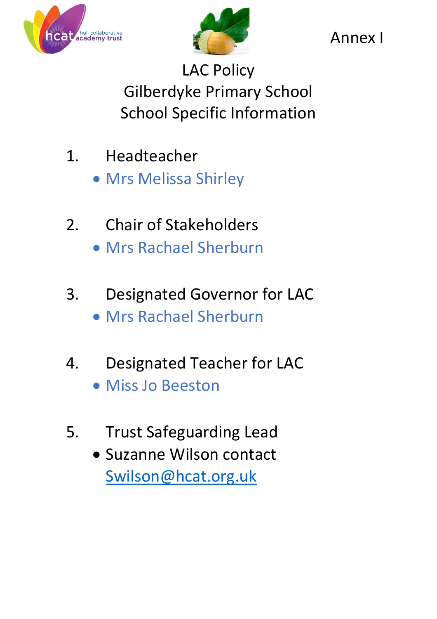



Annex I

LAC Policy Gilberdyke Primary School School Specific Information

- 1. Headteacher • Mrs Melissa Shirley
- 2. Chair of Stakeholders Mrs Rachael Sherburn
- 3. Designated Governor for LAC Mrs Rachael Sherburn
- 4. Designated Teacher for LAC Miss Jo Beeston
- 5. Trust Safeguarding Lead
	- Suzanne Wilson contact [Swilson@hcat.org.uk](mailto:Swilson@hcat.org.uk)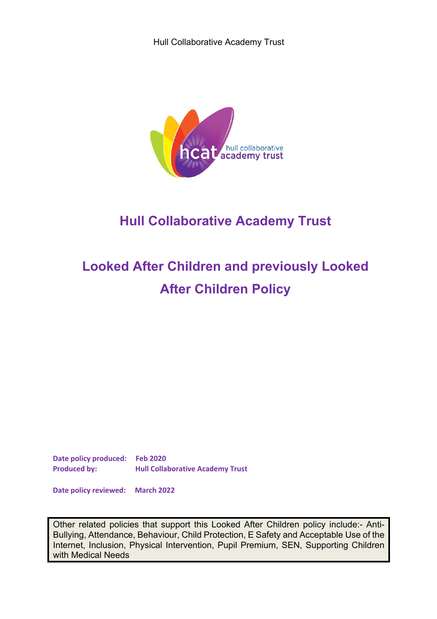

# **Hull Collaborative Academy Trust**

# **Looked After Children and previously Looked After Children Policy**

**Date policy produced: Feb 2020 Produced by: Hull Collaborative Academy Trust** 

**Date policy reviewed: March 2022** 

Other related policies that support this Looked After Children policy include:- Anti-Bullying, Attendance, Behaviour, Child Protection, E Safety and Acceptable Use of the Internet, Inclusion, Physical Intervention, Pupil Premium, SEN, Supporting Children with Medical Needs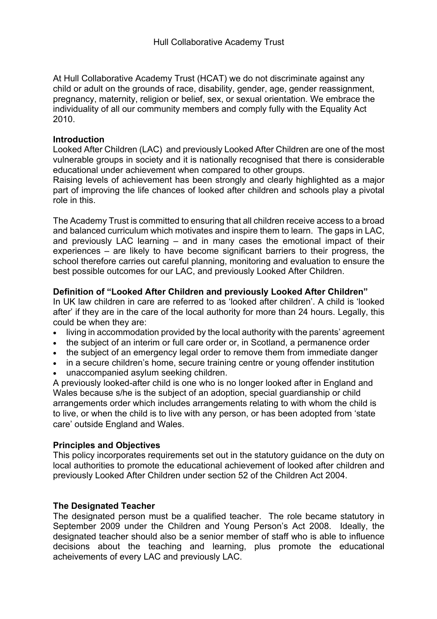At Hull Collaborative Academy Trust (HCAT) we do not discriminate against any child or adult on the grounds of race, disability, gender, age, gender reassignment, pregnancy, maternity, religion or belief, sex, or sexual orientation. We embrace the individuality of all our community members and comply fully with the Equality Act 2010.

#### **Introduction**

Looked After Children (LAC) and previously Looked After Children are one of the most vulnerable groups in society and it is nationally recognised that there is considerable educational under achievement when compared to other groups.

Raising levels of achievement has been strongly and clearly highlighted as a major part of improving the life chances of looked after children and schools play a pivotal role in this.

The Academy Trust is committed to ensuring that all children receive access to a broad and balanced curriculum which motivates and inspire them to learn. The gaps in LAC, and previously LAC learning – and in many cases the emotional impact of their experiences – are likely to have become significant barriers to their progress, the school therefore carries out careful planning, monitoring and evaluation to ensure the best possible outcomes for our LAC, and previously Looked After Children.

#### **Definition of "Looked After Children and previously Looked After Children"**

In UK law children in care are referred to as 'looked after children'. A child is 'looked after' if they are in the care of the local authority for more than 24 hours. Legally, this could be when they are:

- living in accommodation provided by the local authority with the parents' agreement
- the subject of an interim or full care order or, in Scotland, a permanence order
- the subject of an emergency legal order to remove them from immediate danger
- in a secure children's home, secure training centre or young offender institution
- unaccompanied asylum seeking children.

A previously looked-after child is one who is no longer looked after in England and Wales because s/he is the subject of an adoption, special guardianship or child arrangements order which includes arrangements relating to with whom the child is to live, or when the child is to live with any person, or has been adopted from 'state care' outside England and Wales.

## **Principles and Objectives**

This policy incorporates requirements set out in the statutory guidance on the duty on local authorities to promote the educational achievement of looked after children and previously Looked After Children under section 52 of the Children Act 2004.

#### **The Designated Teacher**

The designated person must be a qualified teacher. The role became statutory in September 2009 under the Children and Young Person's Act 2008. Ideally, the designated teacher should also be a senior member of staff who is able to influence decisions about the teaching and learning, plus promote the educational acheivements of every LAC and previously LAC.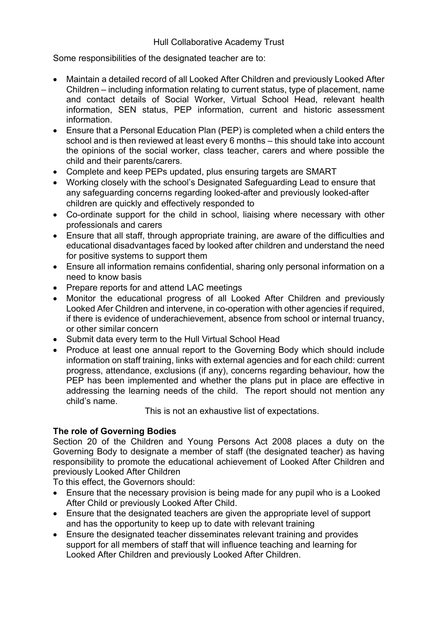Some responsibilities of the designated teacher are to:

- Maintain a detailed record of all Looked After Children and previously Looked After Children – including information relating to current status, type of placement, name and contact details of Social Worker, Virtual School Head, relevant health information, SEN status, PEP information, current and historic assessment information.
- Ensure that a Personal Education Plan (PEP) is completed when a child enters the school and is then reviewed at least every 6 months – this should take into account the opinions of the social worker, class teacher, carers and where possible the child and their parents/carers.
- Complete and keep PEPs updated, plus ensuring targets are SMART
- Working closely with the school's Designated Safeguarding Lead to ensure that any safeguarding concerns regarding looked-after and previously looked-after children are quickly and effectively responded to
- Co-ordinate support for the child in school, liaising where necessary with other professionals and carers
- Ensure that all staff, through appropriate training, are aware of the difficulties and educational disadvantages faced by looked after children and understand the need for positive systems to support them
- Ensure all information remains confidential, sharing only personal information on a need to know basis
- Prepare reports for and attend LAC meetings
- Monitor the educational progress of all Looked After Children and previously Looked Afer Children and intervene, in co-operation with other agencies if required, if there is evidence of underachievement, absence from school or internal truancy, or other similar concern
- Submit data every term to the Hull Virtual School Head
- Produce at least one annual report to the Governing Body which should include information on staff training, links with external agencies and for each child: current progress, attendance, exclusions (if any), concerns regarding behaviour, how the PEP has been implemented and whether the plans put in place are effective in addressing the learning needs of the child. The report should not mention any child's name.

This is not an exhaustive list of expectations.

## **The role of Governing Bodies**

Section 20 of the Children and Young Persons Act 2008 places a duty on the Governing Body to designate a member of staff (the designated teacher) as having responsibility to promote the educational achievement of Looked After Children and previously Looked After Children

To this effect, the Governors should:

- Ensure that the necessary provision is being made for any pupil who is a Looked After Child or previously Looked After Child.
- Ensure that the designated teachers are given the appropriate level of support and has the opportunity to keep up to date with relevant training
- Ensure the designated teacher disseminates relevant training and provides support for all members of staff that will influence teaching and learning for Looked After Children and previously Looked After Children.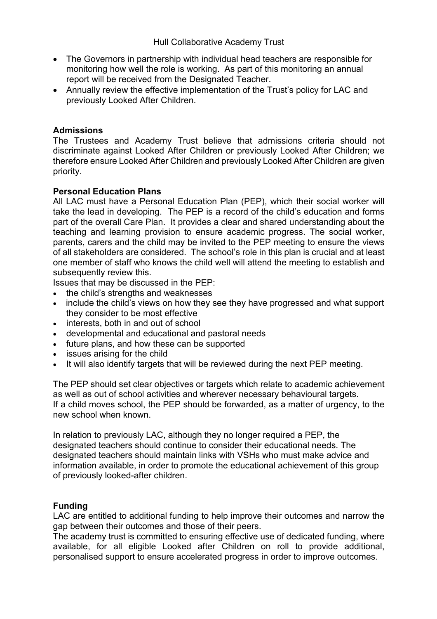- The Governors in partnership with individual head teachers are responsible for monitoring how well the role is working. As part of this monitoring an annual report will be received from the Designated Teacher.
- Annually review the effective implementation of the Trust's policy for LAC and previously Looked After Children.

#### **Admissions**

The Trustees and Academy Trust believe that admissions criteria should not discriminate against Looked After Children or previously Looked After Children; we therefore ensure Looked After Children and previously Looked After Children are given priority.

#### **Personal Education Plans**

All LAC must have a Personal Education Plan (PEP), which their social worker will take the lead in developing. The PEP is a record of the child's education and forms part of the overall Care Plan. It provides a clear and shared understanding about the teaching and learning provision to ensure academic progress. The social worker, parents, carers and the child may be invited to the PEP meeting to ensure the views of all stakeholders are considered. The school's role in this plan is crucial and at least one member of staff who knows the child well will attend the meeting to establish and subsequently review this.

Issues that may be discussed in the PEP:

- the child's strengths and weaknesses
- include the child's views on how they see they have progressed and what support they consider to be most effective
- interests, both in and out of school
- developmental and educational and pastoral needs
- future plans, and how these can be supported
- issues arising for the child
- It will also identify targets that will be reviewed during the next PEP meeting.

The PEP should set clear objectives or targets which relate to academic achievement as well as out of school activities and wherever necessary behavioural targets. If a child moves school, the PEP should be forwarded, as a matter of urgency, to the new school when known.

In relation to previously LAC, although they no longer required a PEP, the designated teachers should continue to consider their educational needs. The designated teachers should maintain links with VSHs who must make advice and information available, in order to promote the educational achievement of this group of previously looked-after children.

#### **Funding**

LAC are entitled to additional funding to help improve their outcomes and narrow the gap between their outcomes and those of their peers.

The academy trust is committed to ensuring effective use of dedicated funding, where available, for all eligible Looked after Children on roll to provide additional, personalised support to ensure accelerated progress in order to improve outcomes.